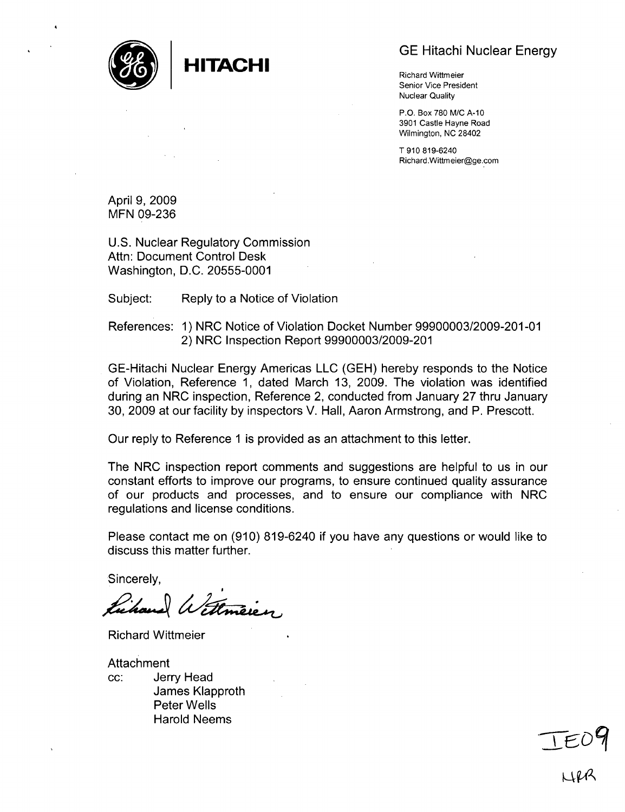

GE Hitachi Nuclear Energy

Senior Vice President Nuclear Quality

P.O. Box 780 M/C A-10 3901 Castle Hayne Road Wilmington, NC 28402

T 910 819-6240 Richard.Wittmeier@ge.com

April 9, 2009 **MFN** 09-236

U.S. Nuclear Regulatory Commission Attn: Document Control Desk Washington, D.C. 20555-0001

Subject: Reply to a Notice of Violation

References: 1) NRC Notice of Violation Docket Number 99900003/2009-201-01 2) NRC Inspection Report 99900003/2009-201

GE-Hitachi Nuclear Energy Americas LLC (GEH) hereby responds to the Notice of Violation, Reference 1, dated March 13, 2009. The violation was identified during an NRC inspection, Reference 2, conducted from January 27 thru January 30, 2009 at our facility by inspectors V. Hall, Aaron Armstrong, and P. Prescott.

Our reply to Reference **1** is provided as an attachment to this letter.

The NRC inspection report comments and suggestions are helpful to us in our constant efforts to improve our programs, to ensure continued quality assurance of our products and processes, and to ensure our compliance with NRC regulations and license conditions.

Please contact me on (910) 819-6240 if you have any questions or would like to discuss this matter further.

Sincerely,

Wittmier

Richard Wittmeier

Attachment cc: Jerry Head James Klapproth Peter Wells Harold Neems

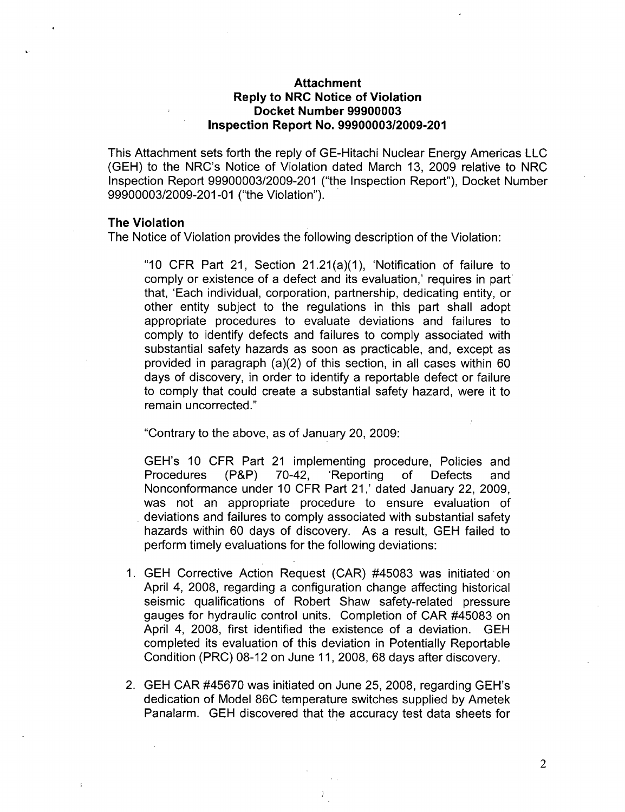## Attachment Reply to NRC Notice of Violation Docket Number **99900003** Inspection Report No. **99900003/2009-201**

This Attachment sets forth the reply of GE-Hitachi Nuclear Energy Americas LLC (GEH) to the NRC's Notice of Violation dated March 13, 2009 relative to NRC Inspection Report 99900003/2009-201 ("the Inspection Report"), Docket Number 99900003/2009-201 -01 ("the Violation").

### The Violation

The Notice of Violation provides the following description of the Violation:

"10 CFR Part 21, Section 21.21(a)(1), 'Notification of failure to comply or existence of a defect and its evaluation,' requires in part that, 'Each individual, corporation, partnership, dedicating entity, or other entity subject to the regulations in this part shall adopt appropriate procedures to evaluate deviations and failures to comply to identify defects and failures to comply associated with substantial safety hazards as soon as practicable, and, except as provided in paragraph (a)(2) of this section, in all cases within 60 days of discovery, in order to identify a reportable defect or failure to comply that could create a substantial safety hazard, were it to remain uncorrected."

"Contrary to the above, as of January 20, 2009:

GEH's 10 CFR Part 21 implementing procedure, Policies and Procedures (P&P) 70-42, 'Reporting of Defects and Nonconformance under 10 CFR Part 21,' dated January 22, 2009, was not an appropriate procedure to ensure evaluation of deviations and failures to comply associated with substantial safety hazards within 60 days of discovery. As a result, GEH failed to perform timely evaluations for the following deviations:

- 1. GEH Corrective Action Request (CAR) #45083 was initiated on April 4, 2008, regarding a configuration change affecting historical seismic qualifications of Robert Shaw safety-related pressure gauges for hydraulic control units. Completion of CAR #45083 on April 4, 2008, first identified the existence of a deviation. GEH completed its evaluation of this deviation in Potentially Reportable Condition (PRC) 08-12 on June 11, 2008, 68 days after discovery.
- 2. GEH CAR #45670 was initiated on June 25, 2008, regarding GEH's dedication of Model 86C temperature switches supplied by Ametek Panalarm. GEH discovered that the accuracy test data sheets for

2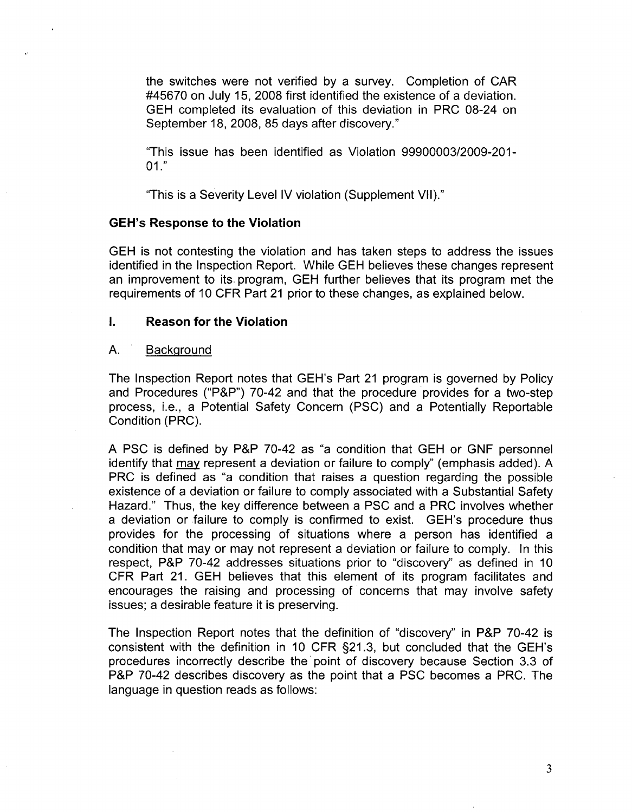the switches were not verified by a survey. Completion of CAR #45670 on July 15, 2008 first identified the existence of a deviation. GEH completed its evaluation of this deviation in PRC 08-24 on September 18, 2008, 85 days after discovery."

"This issue has been identified as Violation 99900003/2009-201- 01."

"This is a Severity Level IV violation (Supplement VII)."

#### GEH's Response to the Violation

GEH is not contesting the violation and has taken steps to address the issues identified in the Inspection Report. While GEH believes these changes represent an improvement to its. program, GEH further believes that its program met the requirements of 10 CFR Part 21 prior to these changes, as explained below.

### **I.** Reason for the Violation

#### **A.** Background

The Inspection Report notes that GEH's Part 21 program is governed by Policy and Procedures ("P&P") 70-42 and that the procedure provides for a two-step process, i.e., a Potential Safety Concern (PSC) and a Potentially Reportable Condition (PRC).

A PSC is defined by P&P 70-42 as "a condition that GEH or GNF personnel identify that may represent a deviation or failure to comply" (emphasis added). A PRC is defined as "a condition that raises a question regarding the possible existence of a deviation or failure to comply associated with a Substantial Safety Hazard." Thus, the key difference between a PSC and a PRC involves whether a deviation or failure to comply is confirmed to exist. GEH's procedure thus provides for the processing of situations where a person has identified a condition that may or may not represent a deviation or failure to comply. In this respect, P&P 70-42 addresses situations prior to "discovery" as defined in 10 CFR Part 21. GEH believes that this element of its program facilitates and encourages the raising and processing of concerns that may involve safety issues; a desirable feature it is preserving.

The Inspection Report notes that the definition of "discovery" in P&P 70-42 is consistent with the definition in 10 CFR §21.3, but concluded that the GEH's procedures incorrectly describe the point of discovery because Section 3.3 of P&P 70-42 describes discovery as the point that a PSC becomes a PRC. The language in question reads as follows:

3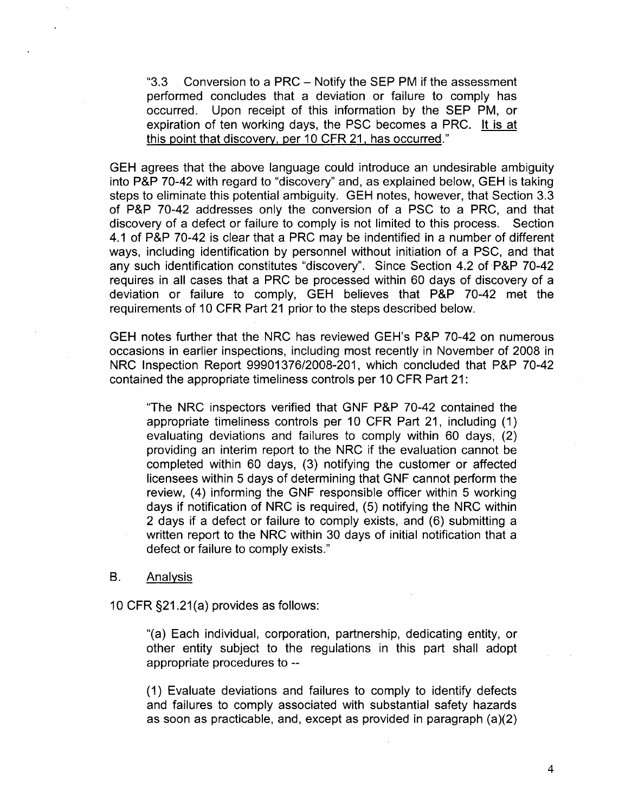"3.3 Conversion to a PRC - Notify the SEP PM if the assessment performed concludes that a deviation or failure to comply has occurred. Upon receipt of this information by the SEP PM, or expiration of ten working days, the **PSC** becomes a PRC. It is at this point that discovery, per 10 CFR 21, has occurred."

GEH agrees that the above language could introduce an undesirable ambiguity into P&P 70-42 with regard to "discovery" and, as explained below, GEH is taking steps to eliminate this potential ambiguity. GEH notes, however, that Section 3.3 of P&P 70-42 addresses only the conversion of a **PSC** to a PRC, and that discovery of a defect or failure to comply is not limited to this process. Section 4.1 of P&P 70-42 is clear that a PRC may be indentified in a number of different ways, including identification by personnel without initiation of a PSC, and that any such identification constitutes "discovery". Since Section 4.2 of P&P 70-42 requires in all cases that a PRC be processed within 60 days of discovery of a deviation or failure to comply, GEH believes that P&P 70-42 met the requirements of 10 CFR Part 21 prior to the steps described below.

GEH notes further that the NRC has reviewed GEH's P&P 70-42 on numerous occasions in earlier inspections, including most recently in November of 2008 in NRC Inspection Report 99901376/2008-201, which concluded that P&P 70-42 contained the appropriate timeliness controls per 10 CFR Part 21:

"The NRC inspectors verified that GNF P&P 70-42 contained the appropriate timeliness controls per 10 CFR Part 21, including (1) evaluating deviations and failures to comply within 60 days, (2) providing an interim report to the NRC if the evaluation cannot be completed within 60 days, (3) notifying the customer or affected licensees within 5 days of determining that GNF cannot perform the review, (4) informing the GNF responsible officer within 5 working days if notification of NRC is required, (5) notifying the NRC within 2 days if a defect or failure to comply exists, and (6) submitting a written report to the NRC within 30 days of initial notification that a defect or failure to comply exists."

#### B. Analysis

10 CFR §21.21(a) provides as follows:

"(a) Each individual, corporation, partnership, dedicating entity, or other entity subject to the regulations in this part shall adopt appropriate procedures to --

(1) Evaluate deviations and failures to comply to identify defects and failures to comply associated with substantial safety hazards as soon as practicable, and, except as provided in paragraph (a)(2)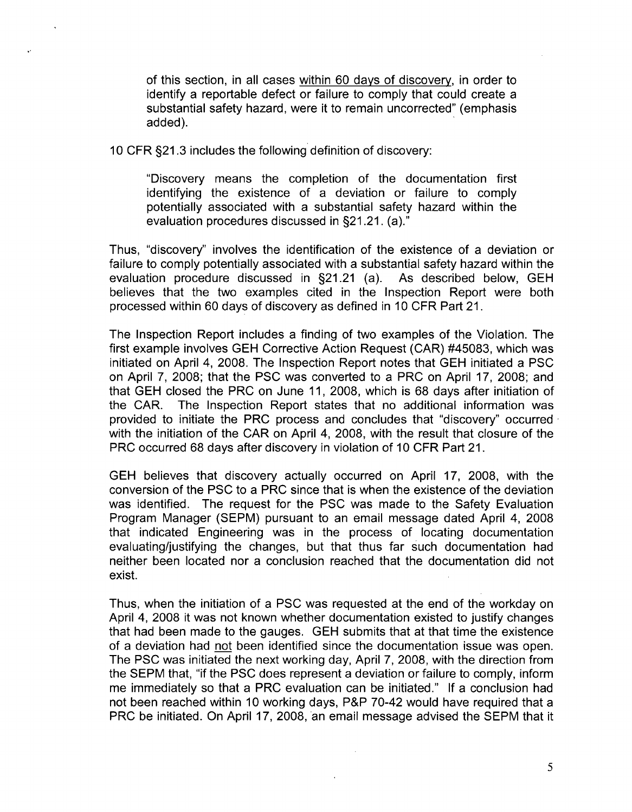of this section, in all cases within 60 days of discovery, in order to identify a reportable defect or failure to comply that could create a substantial safety hazard, were it to remain uncorrected" (emphasis added).

10 CFR §21.3 includes the following definition of discovery:

"Discovery means the completion of the documentation first identifying the existence of a deviation or failure to comply potentially associated with a substantial safety hazard within the evaluation procedures discussed in §21.21. (a)."

Thus, "discovery" involves the identification of the existence of a deviation or failure to comply potentially associated with a substantial safety hazard within the evaluation procedure discussed in §21.21 (a). As described below, GEH believes that the two examples cited in the Inspection Report were both processed within 60 days of discovery as defined in 10 CFR Part 21.

The Inspection Report includes a finding of two examples of the Violation. The first example involves GEH Corrective Action Request (CAR) #45083, which was initiated on April 4, 2008. The Inspection Report notes that GEH initiated a **PSC** on April 7, 2008; that the **PSC** was converted to a PRC on April 17, 2008; and that GEH closed the PRC on June 11, 2008, which is 68 days after initiation of the CAR. The Inspection Report states that no additional information was provided to initiate the PRC process and concludes that "discovery" occurred with the initiation of the CAR on April 4, 2008, with the result that closure of the PRC occurred 68 days after discovery in violation of 10 CFR Part 21.

GEH believes that discovery actually occurred on April 17, 2008, with the conversion of the **PSC** to a PRC since that is when the existence of the deviation was identified. The request for the **PSC** was made to the Safety Evaluation Program Manager (SEPM) pursuant to an email message dated April 4, 2008 that indicated Engineering was in the process of locating documentation evaluating/justifying the changes, but that thus far such documentation had neither been located nor a conclusion reached that the documentation did not exist.

Thus, when the initiation of a **PSC** was requested at the end of the workday on April 4, 2008 it was not known whether documentation existed to justify changes that had been made to the gauges. GEH submits that at that time the existence of a deviation had not been identified since the documentation issue was open. The **PSC** was initiated the next working day, April 7, 2008, with the direction from the SEPM that, "if the **PSC** does represent a deviation or failure to comply, inform me immediately so that a PRC evaluation can be initiated." If a conclusion had not been reached within 10 working days, P&P 70-42 would have required that a PRC be initiated. On April 17, 2008, an email message advised the SEPM that it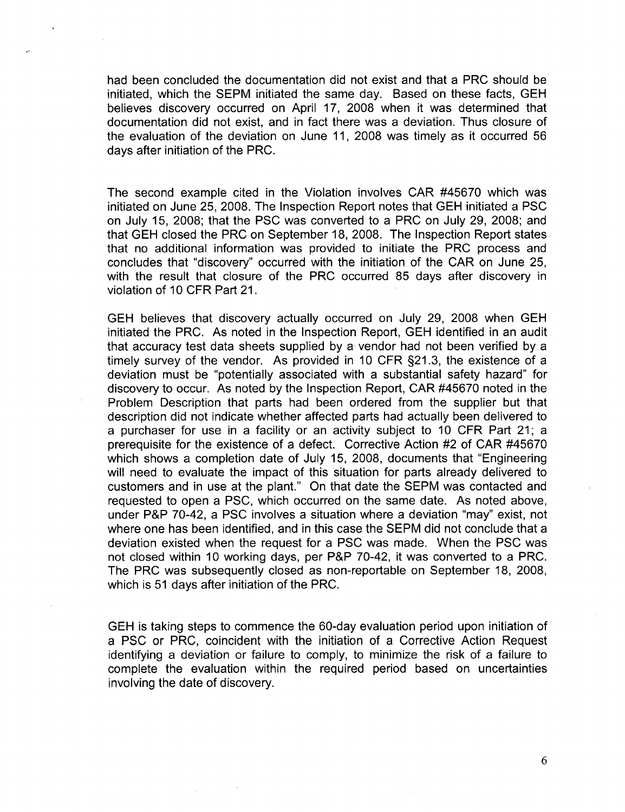had been concluded the documentation did not exist and that a PRC should be initiated, which the SEPM initiated the same day. Based on these facts, GEH believes discovery occurred on April 17, 2008 when it was determined that documentation did not exist, and in fact there was a deviation. Thus closure of the evaluation of the deviation on June 11, 2008 was timely as it occurred 56 days after initiation of the PRC.

The second example cited in the Violation involves CAR #45670 which was initiated on June 25, 2008. The Inspection Report notes that GEH initiated a **PSC** on July 15, 2008; that the **PSC** was converted to a PRC on July 29, 2008; and that GEH closed the PRC on September 18, 2008. The Inspection Report states that no additional information was provided to initiate the PRC process and concludes that "discovery" occurred with the initiation of the CAR on June 25, with the result that closure of the PRC occurred 85 days after discovery in violation of 10 CFR Part 21.

GEH believes that discovery actually occurred on July 29, 2008 when GEH initiated the PRC. As noted in the Inspection Report, GEH identified in an audit that accuracy test data sheets supplied by a vendor had not been verified by a timely survey of the vendor. As provided in 10 CFR §21.3, the existence of a deviation must be "potentially associated with a substantial safety hazard" for discovery to occur. As noted by the Inspection Report, CAR #45670 noted in the Problem Description that parts had been ordered from the supplier but that description did not indicate whether affected parts had actually been delivered to a purchaser for use in a facility or an activity subject to 10 CFR Part 21; a prerequisite for the existence of a defect. Corrective Action #2 of CAR #45670 which shows a completion date of July 15, 2008, documents that "Engineering will need to evaluate the impact of this situation for parts already delivered to customers and in use at the plant." On that date the SEPM was contacted and requested to open a **PSC,** which occurred on the same date. As noted above, under P&P 70-42, a **PSC** involves a situation where a deviation "may" exist, not where one has been identified, and in this case the SEPM did not conclude that a deviation existed when the request for a **PSC** was made. When the **PSC** was not closed within 10 working days, per P&P 70-42, it was converted to a PRC. The PRC was subsequently closed as non-reportable on September 18, 2008, which is 51 days after initiation of the PRC.

GEH is taking steps to commence the 60-day evaluation period upon initiation of a **PSC** or PRC, coincident with the initiation of a Corrective Action Request identifying a deviation or failure to comply, to minimize the risk of a failure to complete the evaluation within the required period based on uncertainties involving the date of discovery.

6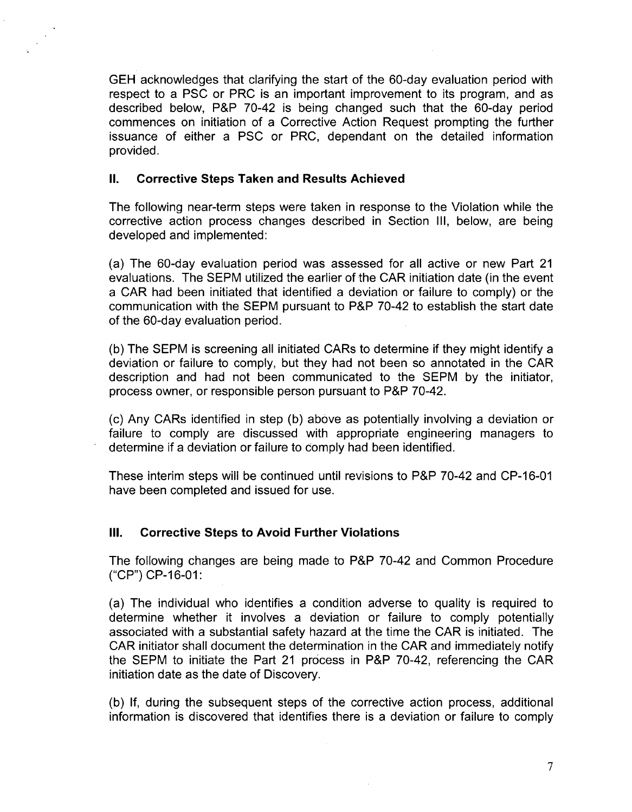GEH acknowledges that clarifying the start of the 60-day evaluation period with respect to a **PSC** or PRC is an important improvement to its program, and as described below, P&P 70-42 is being changed such that the 60-day period commences on initiation of a Corrective Action Request prompting the further issuance of either a **PSC** or PRC, dependant on the detailed information provided.

## **II.** Corrective Steps Taken and Results Achieved

The following near-term steps were taken in response to the Violation while the corrective action process changes described in Section III, below, are being developed and implemented:

(a) The 60-day evaluation period was assessed for all active or new Part 21 evaluations. The SEPM utilized the earlier of the CAR initiation date (in the event a CAR had been initiated that identified a deviation or failure to comply) or the communication with the SEPM pursuant to P&P 70-42 to establish the start date of the 60-day evaluation period.

(b) The SEPM is screening all initiated CARs to determine if they might identify a deviation or failure to comply, but they had not been so annotated in the CAR description and had not been communicated to the SEPM by the initiator, process owner, or responsible person pursuant to P&P 70-42.

(c) Any CARs identified in step (b) above as potentially involving a deviation or failure to comply are discussed with appropriate engineering managers to determine if a deviation or failure to comply had been identified.

These interim steps will be continued until revisions to P&P 70-42 and CP-16-01 have been completed and issued for use.

# **III.** Corrective Steps to Avoid Further Violations

The following changes are being made to P&P 70-42 and Common Procedure **("CP")** CP-16-01:

(a) The individual who identifies a condition adverse to quality is required to determine whether it involves a deviation or failure to comply potentially associated with a substantial safety hazard at the time the CAR is initiated. The CAR initiator shall document the determination in the CAR and immediately notify the SEPM to initiate the Part 21 process in P&P 70-42, referencing the CAR initiation date as the date of Discovery.

(b) If, during the subsequent steps of the corrective action process, additional information is discovered that identifies there is a deviation or failure to comply